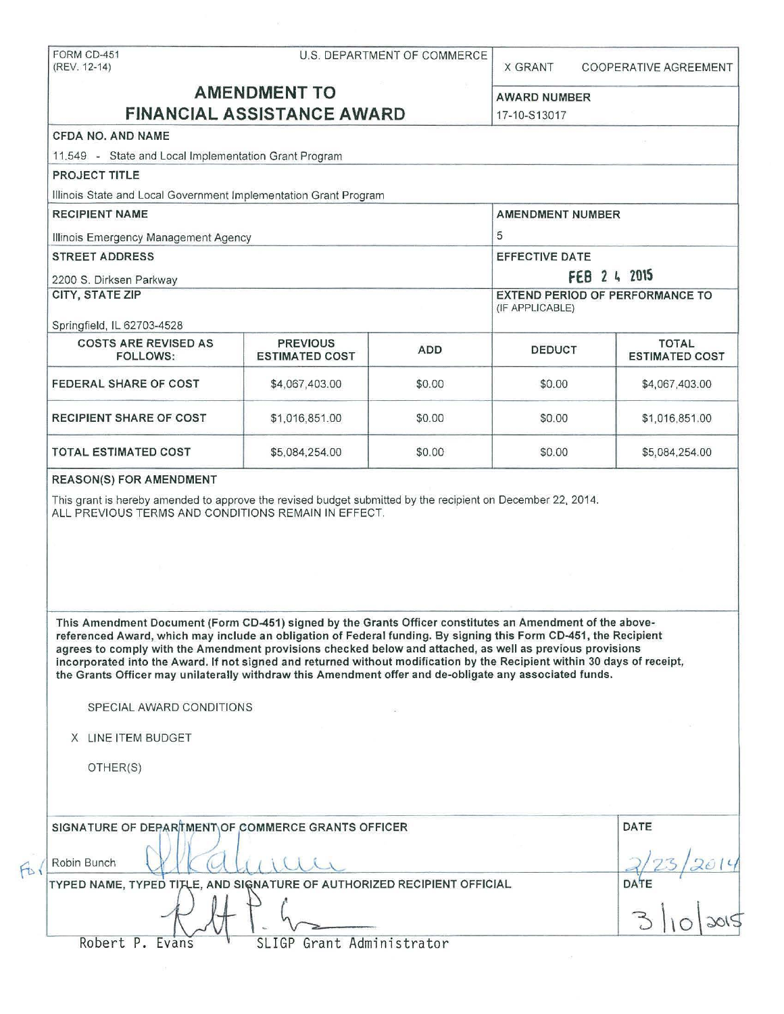|                                                                                                                                                                                                                                                                                                                                                                                                                                                                                                                                                                                                                                                                                                                                                                                                                       |                                                           |            | U.S. DEPARTMENT OF COMMERCE<br><b>X GRANT</b><br><b>COOPERATIVE AGREEMENT</b> |                       |
|-----------------------------------------------------------------------------------------------------------------------------------------------------------------------------------------------------------------------------------------------------------------------------------------------------------------------------------------------------------------------------------------------------------------------------------------------------------------------------------------------------------------------------------------------------------------------------------------------------------------------------------------------------------------------------------------------------------------------------------------------------------------------------------------------------------------------|-----------------------------------------------------------|------------|-------------------------------------------------------------------------------|-----------------------|
| <b>AMENDMENT TO</b><br><b>FINANCIAL ASSISTANCE AWARD</b>                                                                                                                                                                                                                                                                                                                                                                                                                                                                                                                                                                                                                                                                                                                                                              | <b>AWARD NUMBER</b><br>17-10-S13017                       |            |                                                                               |                       |
| CFDA NO. AND NAME                                                                                                                                                                                                                                                                                                                                                                                                                                                                                                                                                                                                                                                                                                                                                                                                     |                                                           |            |                                                                               |                       |
| 11.549 - State and Local Implementation Grant Program                                                                                                                                                                                                                                                                                                                                                                                                                                                                                                                                                                                                                                                                                                                                                                 |                                                           |            |                                                                               |                       |
| <b>PROJECT TITLE</b>                                                                                                                                                                                                                                                                                                                                                                                                                                                                                                                                                                                                                                                                                                                                                                                                  |                                                           |            |                                                                               |                       |
| Illinois State and Local Government Implementation Grant Program                                                                                                                                                                                                                                                                                                                                                                                                                                                                                                                                                                                                                                                                                                                                                      |                                                           |            |                                                                               |                       |
| <b>RECIPIENT NAME</b>                                                                                                                                                                                                                                                                                                                                                                                                                                                                                                                                                                                                                                                                                                                                                                                                 |                                                           |            | <b>AMENDMENT NUMBER</b>                                                       |                       |
| Illinois Emergency Management Agency                                                                                                                                                                                                                                                                                                                                                                                                                                                                                                                                                                                                                                                                                                                                                                                  | 5                                                         |            |                                                                               |                       |
| <b>STREET ADDRESS</b>                                                                                                                                                                                                                                                                                                                                                                                                                                                                                                                                                                                                                                                                                                                                                                                                 | <b>EFFECTIVE DATE</b>                                     |            |                                                                               |                       |
| 2200 S. Dirksen Parkway                                                                                                                                                                                                                                                                                                                                                                                                                                                                                                                                                                                                                                                                                                                                                                                               | FEB 2 4 2015                                              |            |                                                                               |                       |
| <b>CITY, STATE ZIP</b>                                                                                                                                                                                                                                                                                                                                                                                                                                                                                                                                                                                                                                                                                                                                                                                                | <b>EXTEND PERIOD OF PERFORMANCE TO</b><br>(IF APPLICABLE) |            |                                                                               |                       |
| Springfield, IL 62703-4528<br><b>COSTS ARE REVISED AS</b>                                                                                                                                                                                                                                                                                                                                                                                                                                                                                                                                                                                                                                                                                                                                                             | <b>PREVIOUS</b>                                           |            |                                                                               | <b>TOTAL</b>          |
| <b>FOLLOWS:</b>                                                                                                                                                                                                                                                                                                                                                                                                                                                                                                                                                                                                                                                                                                                                                                                                       | <b>ESTIMATED COST</b>                                     | <b>ADD</b> | <b>DEDUCT</b>                                                                 | <b>ESTIMATED COST</b> |
| <b>FEDERAL SHARE OF COST</b>                                                                                                                                                                                                                                                                                                                                                                                                                                                                                                                                                                                                                                                                                                                                                                                          | \$4,067,403.00                                            | \$0.00     | \$0.00                                                                        | \$4,067,403.00        |
| <b>RECIPIENT SHARE OF COST</b>                                                                                                                                                                                                                                                                                                                                                                                                                                                                                                                                                                                                                                                                                                                                                                                        | \$1,016,851.00                                            | \$0.00     | \$0.00                                                                        | \$1,016,851.00        |
| <b>TOTAL ESTIMATED COST</b>                                                                                                                                                                                                                                                                                                                                                                                                                                                                                                                                                                                                                                                                                                                                                                                           | \$5,084,254.00                                            | \$0.00     | \$0.00                                                                        | \$5,084,254.00        |
|                                                                                                                                                                                                                                                                                                                                                                                                                                                                                                                                                                                                                                                                                                                                                                                                                       |                                                           |            |                                                                               |                       |
|                                                                                                                                                                                                                                                                                                                                                                                                                                                                                                                                                                                                                                                                                                                                                                                                                       |                                                           |            |                                                                               |                       |
| This grant is hereby amended to approve the revised budget submitted by the recipient on December 22, 2014.<br>ALL PREVIOUS TERMS AND CONDITIONS REMAIN IN EFFECT.<br>This Amendment Document (Form CD-451) signed by the Grants Officer constitutes an Amendment of the above-<br>referenced Award, which may include an obligation of Federal funding. By signing this Form CD-451, the Recipient<br>agrees to comply with the Amendment provisions checked below and attached, as well as previous provisions<br>incorporated into the Award. If not signed and returned without modification by the Recipient within 30 days of receipt,<br>the Grants Officer may unilaterally withdraw this Amendment offer and de-obligate any associated funds.<br>SPECIAL AWARD CONDITIONS<br>X LINE ITEM BUDGET<br>OTHER(S) |                                                           |            |                                                                               |                       |
|                                                                                                                                                                                                                                                                                                                                                                                                                                                                                                                                                                                                                                                                                                                                                                                                                       |                                                           |            |                                                                               | DATE                  |
| SIGNATURE OF DEPARTMENT OF COMMERCE GRANTS OFFICER<br>Robin Bunch<br>TYPED NAME, TYPED TIJLE, AND SIGNATURE OF AUTHORIZED RECIPIENT OFFICIAL                                                                                                                                                                                                                                                                                                                                                                                                                                                                                                                                                                                                                                                                          |                                                           |            |                                                                               | <b>DATE</b>           |